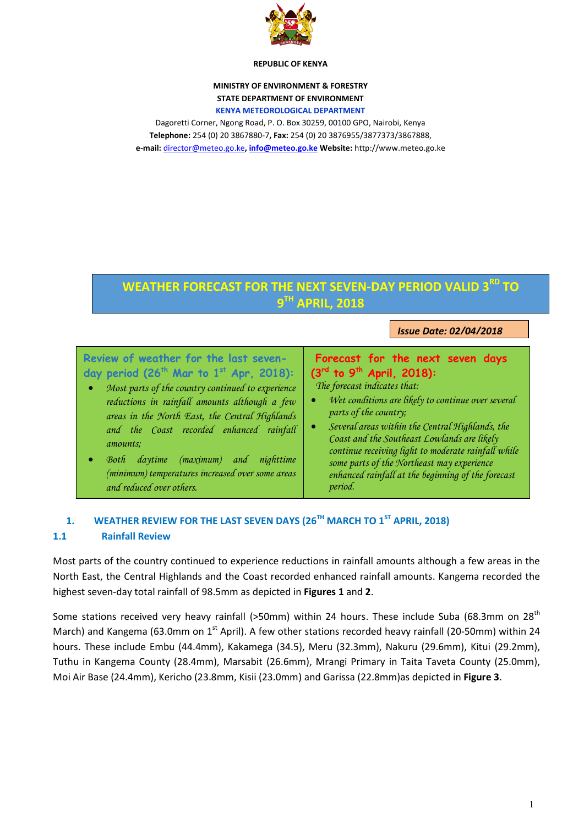

#### **REPUBLIC OF KENYA**

# **MINISTRY OF ENVIRONMENT & FORESTRY STATE DEPARTMENT OF ENVIRONMENT**

#### **KENYA METEOROLOGICAL DEPARTMENT**

Dagoretti Corner, Ngong Road, P. O. Box 30259, 00100 GPO, Nairobi, Kenya **Telephone:** 254 (0) 20 3867880-7**, Fax:** 254 (0) 20 3876955/3877373/3867888, **e-mail:** [director@meteo.go.ke](mailto:director@meteo.go.ke)**[, info@meteo.go.ke](mailto:info@meteo.go.ke) Website:** http://www.meteo.go.ke

# **WEATHER FORECAST FOR THE NEXT SEVEN-DAY PERIOD VALID 3 RD TO 9 TH APRIL, 2018**

*Issue Date: 02/04/2018*

| Review of weather for the last seven-<br>day period $(26^{th}$ Mar to $1^{st}$ Apr, 2018):<br>Most parts of the country continued to experience<br>$\bullet$<br>reductions in rainfall amounts although a few<br>areas in the North East, the Central Highlands<br>and the Coast recorded enhanced rainfall<br>amounts;<br>(maximum)<br>daytime<br>nighttime<br>Both<br>and | Forecast for the next seven days<br>$(3^{rd}$ to 9 <sup>th</sup> April, 2018):<br>The forecast indicates that:<br>Wet conditions are likely to continue over several<br>parts of the country;<br>Several areas within the Central Highlands, the<br>Coast and the Southeast Lowlands are likely<br>continue receiving light to moderate rainfall while<br>some parts of the Northeast may experience |
|-----------------------------------------------------------------------------------------------------------------------------------------------------------------------------------------------------------------------------------------------------------------------------------------------------------------------------------------------------------------------------|------------------------------------------------------------------------------------------------------------------------------------------------------------------------------------------------------------------------------------------------------------------------------------------------------------------------------------------------------------------------------------------------------|
| (minimum) temperatures increased over some areas                                                                                                                                                                                                                                                                                                                            | enhanced rainfall at the beginning of the forecast                                                                                                                                                                                                                                                                                                                                                   |
| and reduced over others.                                                                                                                                                                                                                                                                                                                                                    | period.                                                                                                                                                                                                                                                                                                                                                                                              |

# **1. WEATHER REVIEW FOR THE LAST SEVEN DAYS (26TH MARCH TO 1ST APRIL, 2018)**

#### **1.1 Rainfall Review**

Most parts of the country continued to experience reductions in rainfall amounts although a few areas in the North East, the Central Highlands and the Coast recorded enhanced rainfall amounts. Kangema recorded the highest seven-day total rainfall of 98.5mm as depicted in **Figures 1** and **2**.

Some stations received very heavy rainfall (>50mm) within 24 hours. These include Suba (68.3mm on 28<sup>th</sup> March) and Kangema (63.0mm on  $1<sup>st</sup>$  April). A few other stations recorded heavy rainfall (20-50mm) within 24 hours. These include Embu (44.4mm), Kakamega (34.5), Meru (32.3mm), Nakuru (29.6mm), Kitui (29.2mm), Tuthu in Kangema County (28.4mm), Marsabit (26.6mm), Mrangi Primary in Taita Taveta County (25.0mm), Moi Air Base (24.4mm), Kericho (23.8mm, Kisii (23.0mm) and Garissa (22.8mm)as depicted in **Figure 3**.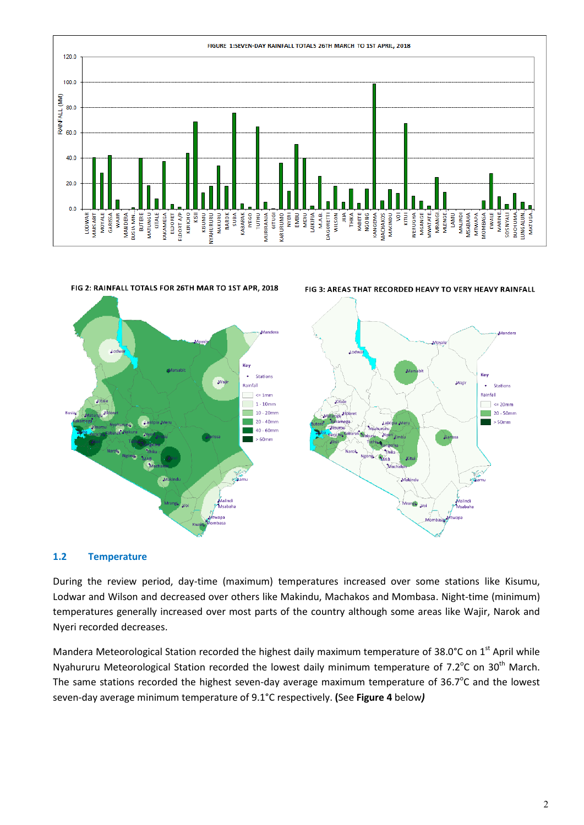



#### **1.2 Temperature**

During the review period, day-time (maximum) temperatures increased over some stations like Kisumu, Lodwar and Wilson and decreased over others like Makindu, Machakos and Mombasa. Night-time (minimum) temperatures generally increased over most parts of the country although some areas like Wajir, Narok and Nyeri recorded decreases.

Mandera Meteorological Station recorded the highest daily maximum temperature of 38.0°C on 1<sup>st</sup> April while Nyahururu Meteorological Station recorded the lowest daily minimum temperature of 7.2°C on 30<sup>th</sup> March. The same stations recorded the highest seven-day average maximum temperature of  $36.7^{\circ}$ C and the lowest seven-day average minimum temperature of 9.1°C respectively. **(**See **Figure 4** below*)*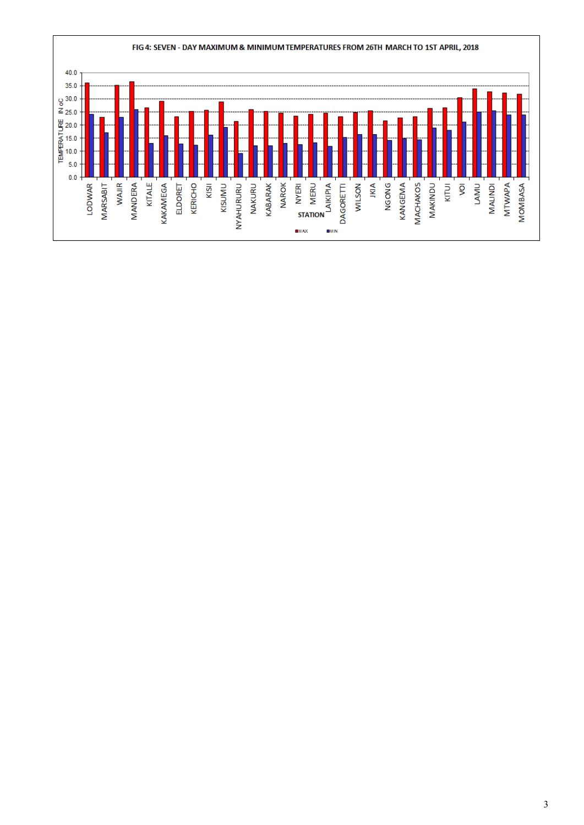